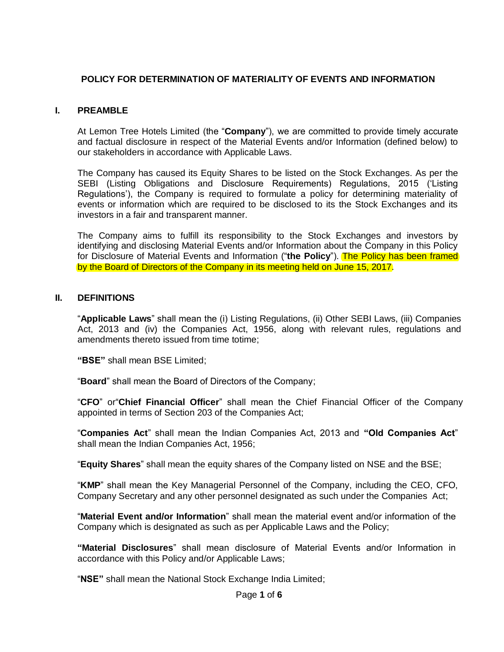# **POLICY FOR DETERMINATION OF MATERIALITY OF EVENTS AND INFORMATION**

## **I. PREAMBLE**

At Lemon Tree Hotels Limited (the "**Company**"), we are committed to provide timely accurate and factual disclosure in respect of the Material Events and/or Information (defined below) to our stakeholders in accordance with Applicable Laws.

The Company has caused its Equity Shares to be listed on the Stock Exchanges. As per the SEBI (Listing Obligations and Disclosure Requirements) Regulations, 2015 ('Listing Regulations"), the Company is required to formulate a policy for determining materiality of events or information which are required to be disclosed to its the Stock Exchanges and its investors in a fair and transparent manner.

The Company aims to fulfill its responsibility to the Stock Exchanges and investors by identifying and disclosing Material Events and/or Information about the Company in this Policy for Disclosure of Material Events and Information ("the Policy"). The Policy has been framed by the Board of Directors of the Company in its meeting held on June 15, 2017.

### **II. DEFINITIONS**

"**Applicable Laws**" shall mean the (i) Listing Regulations, (ii) Other SEBI Laws, (iii) Companies Act, 2013 and (iv) the Companies Act, 1956, along with relevant rules, regulations and amendments thereto issued from time totime;

**"BSE"** shall mean BSE Limited;

"**Board**" shall mean the Board of Directors of the Company;

"**CFO**" or"**Chief Financial Officer**" shall mean the Chief Financial Officer of the Company appointed in terms of Section 203 of the Companies Act;

"**Companies Act**" shall mean the Indian Companies Act, 2013 and **"Old Companies Act**" shall mean the Indian Companies Act, 1956;

"**Equity Shares**" shall mean the equity shares of the Company listed on NSE and the BSE;

"**KMP**" shall mean the Key Managerial Personnel of the Company, including the CEO, CFO, Company Secretary and any other personnel designated as such under the Companies Act;

"**Material Event and/or Information**" shall mean the material event and/or information of the Company which is designated as such as per Applicable Laws and the Policy;

**"Material Disclosures**" shall mean disclosure of Material Events and/or Information in accordance with this Policy and/or Applicable Laws;

"**NSE"** shall mean the National Stock Exchange India Limited;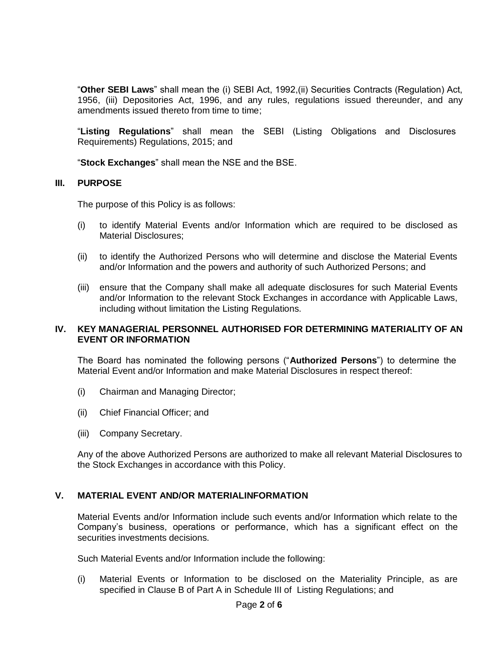"**Other SEBI Laws**" shall mean the (i) SEBI Act, 1992,(ii) Securities Contracts (Regulation) Act, 1956, (iii) Depositories Act, 1996, and any rules, regulations issued thereunder, and any amendments issued thereto from time to time;

"**Listing Regulations**" shall mean the SEBI (Listing Obligations and Disclosures Requirements) Regulations, 2015; and

"**Stock Exchanges**" shall mean the NSE and the BSE.

#### **III. PURPOSE**

The purpose of this Policy is as follows:

- (i) to identify Material Events and/or Information which are required to be disclosed as Material Disclosures;
- (ii) to identify the Authorized Persons who will determine and disclose the Material Events and/or Information and the powers and authority of such Authorized Persons; and
- (iii) ensure that the Company shall make all adequate disclosures for such Material Events and/or Information to the relevant Stock Exchanges in accordance with Applicable Laws, including without limitation the Listing Regulations.

### **IV. KEY MANAGERIAL PERSONNEL AUTHORISED FOR DETERMINING MATERIALITY OF AN EVENT OR INFORMATION**

The Board has nominated the following persons ("**Authorized Persons**") to determine the Material Event and/or Information and make Material Disclosures in respect thereof:

- (i) Chairman and Managing Director;
- (ii) Chief Financial Officer; and
- (iii) Company Secretary.

Any of the above Authorized Persons are authorized to make all relevant Material Disclosures to the Stock Exchanges in accordance with this Policy.

### **V. MATERIAL EVENT AND/OR MATERIALINFORMATION**

Material Events and/or Information include such events and/or Information which relate to the Company"s business, operations or performance, which has a significant effect on the securities investments decisions.

Such Material Events and/or Information include the following:

(i) Material Events or Information to be disclosed on the Materiality Principle, as are specified in Clause B of Part A in Schedule III of Listing Regulations; and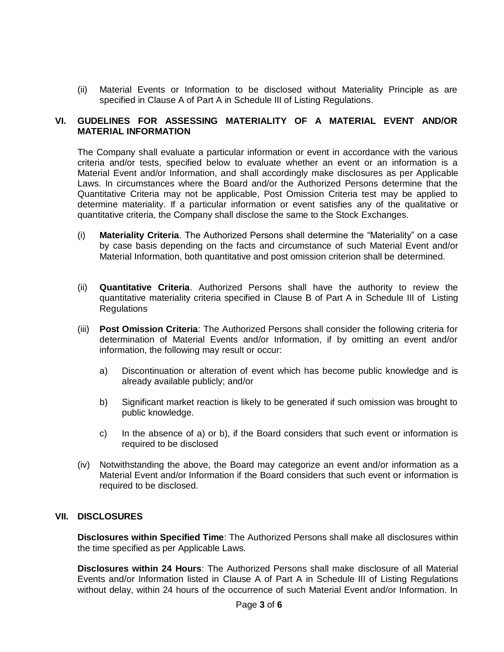(ii) Material Events or Information to be disclosed without Materiality Principle as are specified in Clause A of Part A in Schedule III of Listing Regulations.

### **VI. GUDELINES FOR ASSESSING MATERIALITY OF A MATERIAL EVENT AND/OR MATERIAL INFORMATION**

The Company shall evaluate a particular information or event in accordance with the various criteria and/or tests, specified below to evaluate whether an event or an information is a Material Event and/or Information, and shall accordingly make disclosures as per Applicable Laws. In circumstances where the Board and/or the Authorized Persons determine that the Quantitative Criteria may not be applicable, Post Omission Criteria test may be applied to determine materiality. If a particular information or event satisfies any of the qualitative or quantitative criteria, the Company shall disclose the same to the Stock Exchanges.

- (i) **Materiality Criteria**. The Authorized Persons shall determine the "Materiality" on a case by case basis depending on the facts and circumstance of such Material Event and/or Material Information, both quantitative and post omission criterion shall be determined.
- (ii) **Quantitative Criteria**. Authorized Persons shall have the authority to review the quantitative materiality criteria specified in Clause B of Part A in Schedule III of Listing Regulations
- (iii) **Post Omission Criteria**: The Authorized Persons shall consider the following criteria for determination of Material Events and/or Information, if by omitting an event and/or information, the following may result or occur:
	- a) Discontinuation or alteration of event which has become public knowledge and is already available publicly; and/or
	- b) Significant market reaction is likely to be generated if such omission was brought to public knowledge.
	- c) In the absence of a) or b), if the Board considers that such event or information is required to be disclosed
- (iv) Notwithstanding the above, the Board may categorize an event and/or information as a Material Event and/or Information if the Board considers that such event or information is required to be disclosed.

### **VII. DISCLOSURES**

**Disclosures within Specified Time**: The Authorized Persons shall make all disclosures within the time specified as per Applicable Laws.

**Disclosures within 24 Hours**: The Authorized Persons shall make disclosure of all Material Events and/or Information listed in Clause A of Part A in Schedule III of Listing Regulations without delay, within 24 hours of the occurrence of such Material Event and/or Information. In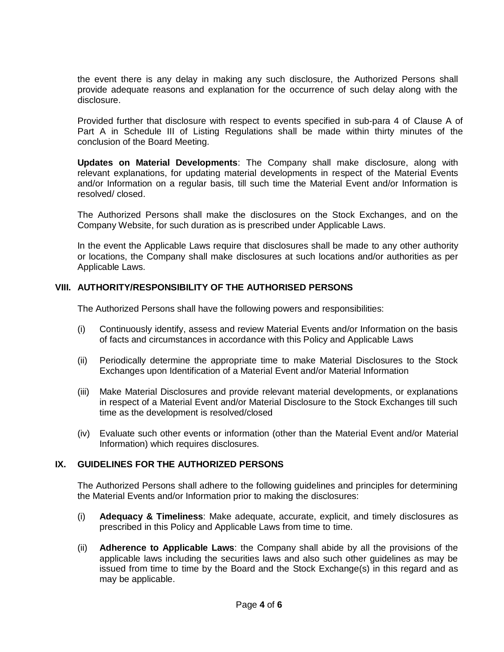the event there is any delay in making any such disclosure, the Authorized Persons shall provide adequate reasons and explanation for the occurrence of such delay along with the disclosure.

Provided further that disclosure with respect to events specified in sub-para 4 of Clause A of Part A in Schedule III of Listing Regulations shall be made within thirty minutes of the conclusion of the Board Meeting.

**Updates on Material Developments**: The Company shall make disclosure, along with relevant explanations, for updating material developments in respect of the Material Events and/or Information on a regular basis, till such time the Material Event and/or Information is resolved/ closed.

The Authorized Persons shall make the disclosures on the Stock Exchanges, and on the Company Website, for such duration as is prescribed under Applicable Laws.

In the event the Applicable Laws require that disclosures shall be made to any other authority or locations, the Company shall make disclosures at such locations and/or authorities as per Applicable Laws.

## **VIII. AUTHORITY/RESPONSIBILITY OF THE AUTHORISED PERSONS**

The Authorized Persons shall have the following powers and responsibilities:

- (i) Continuously identify, assess and review Material Events and/or Information on the basis of facts and circumstances in accordance with this Policy and Applicable Laws
- (ii) Periodically determine the appropriate time to make Material Disclosures to the Stock Exchanges upon Identification of a Material Event and/or Material Information
- (iii) Make Material Disclosures and provide relevant material developments, or explanations in respect of a Material Event and/or Material Disclosure to the Stock Exchanges till such time as the development is resolved/closed
- (iv) Evaluate such other events or information (other than the Material Event and/or Material Information) which requires disclosures.

### **IX. GUIDELINES FOR THE AUTHORIZED PERSONS**

The Authorized Persons shall adhere to the following guidelines and principles for determining the Material Events and/or Information prior to making the disclosures:

- (i) **Adequacy & Timeliness**: Make adequate, accurate, explicit, and timely disclosures as prescribed in this Policy and Applicable Laws from time to time.
- (ii) **Adherence to Applicable Laws**: the Company shall abide by all the provisions of the applicable laws including the securities laws and also such other guidelines as may be issued from time to time by the Board and the Stock Exchange(s) in this regard and as may be applicable.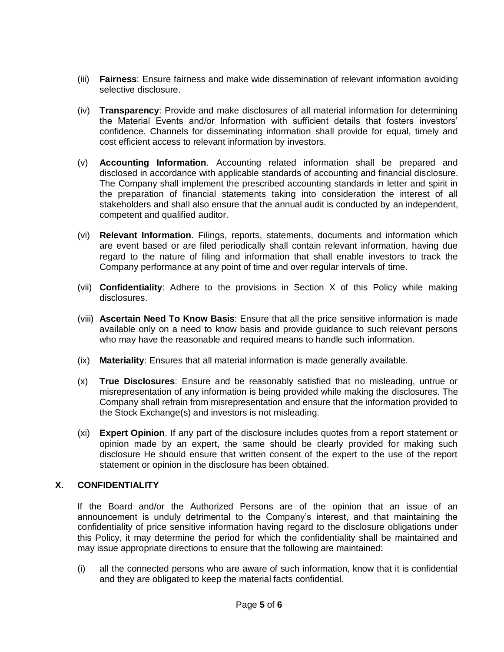- (iii) **Fairness**: Ensure fairness and make wide dissemination of relevant information avoiding selective disclosure.
- (iv) **Transparency**: Provide and make disclosures of all material information for determining the Material Events and/or Information with sufficient details that fosters investors" confidence. Channels for disseminating information shall provide for equal, timely and cost efficient access to relevant information by investors.
- (v) **Accounting Information**. Accounting related information shall be prepared and disclosed in accordance with applicable standards of accounting and financial disclosure. The Company shall implement the prescribed accounting standards in letter and spirit in the preparation of financial statements taking into consideration the interest of all stakeholders and shall also ensure that the annual audit is conducted by an independent, competent and qualified auditor.
- (vi) **Relevant Information**. Filings, reports, statements, documents and information which are event based or are filed periodically shall contain relevant information, having due regard to the nature of filing and information that shall enable investors to track the Company performance at any point of time and over regular intervals of time.
- (vii) **Confidentiality**: Adhere to the provisions in Section X of this Policy while making disclosures.
- (viii) **Ascertain Need To Know Basis**: Ensure that all the price sensitive information is made available only on a need to know basis and provide guidance to such relevant persons who may have the reasonable and required means to handle such information.
- (ix) **Materiality**: Ensures that all material information is made generally available.
- (x) **True Disclosures**: Ensure and be reasonably satisfied that no misleading, untrue or misrepresentation of any information is being provided while making the disclosures. The Company shall refrain from misrepresentation and ensure that the information provided to the Stock Exchange(s) and investors is not misleading.
- (xi) **Expert Opinion**. If any part of the disclosure includes quotes from a report statement or opinion made by an expert, the same should be clearly provided for making such disclosure He should ensure that written consent of the expert to the use of the report statement or opinion in the disclosure has been obtained.

### **X. CONFIDENTIALITY**

If the Board and/or the Authorized Persons are of the opinion that an issue of an announcement is unduly detrimental to the Company"s interest, and that maintaining the confidentiality of price sensitive information having regard to the disclosure obligations under this Policy, it may determine the period for which the confidentiality shall be maintained and may issue appropriate directions to ensure that the following are maintained:

(i) all the connected persons who are aware of such information, know that it is confidential and they are obligated to keep the material facts confidential.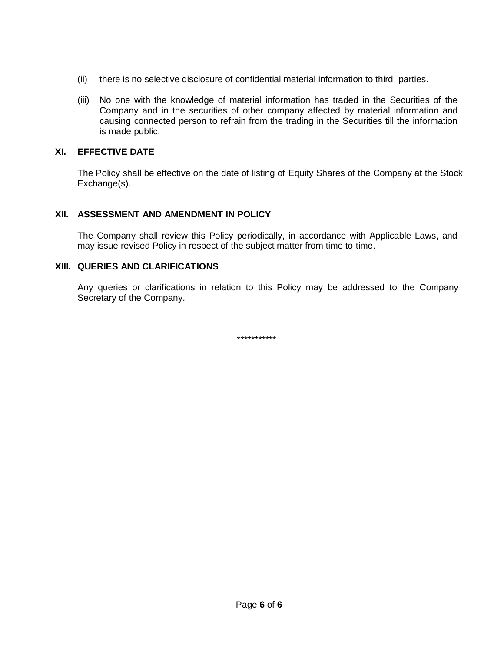- (ii) there is no selective disclosure of confidential material information to third parties.
- (iii) No one with the knowledge of material information has traded in the Securities of the Company and in the securities of other company affected by material information and causing connected person to refrain from the trading in the Securities till the information is made public.

## **XI. EFFECTIVE DATE**

The Policy shall be effective on the date of listing of Equity Shares of the Company at the Stock Exchange(s).

# **XII. ASSESSMENT AND AMENDMENT IN POLICY**

The Company shall review this Policy periodically, in accordance with Applicable Laws, and may issue revised Policy in respect of the subject matter from time to time.

### **XIII. QUERIES AND CLARIFICATIONS**

Any queries or clarifications in relation to this Policy may be addressed to the Company Secretary of the Company.

\*\*\*\*\*\*\*\*\*\*\*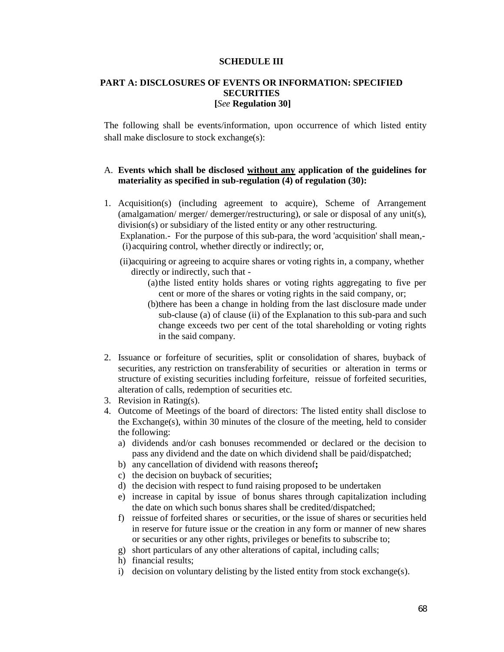#### **SCHEDULE III**

#### **PART A: DISCLOSURES OF EVENTS OR INFORMATION: SPECIFIED SECURITIES [***See* **Regulation 30]**

The following shall be events/information, upon occurrence of which listed entity shall make disclosure to stock exchange(s):

#### A. **Events which shall be disclosed without any application of the guidelines for materiality as specified in sub-regulation (4) of regulation (30):**

1. Acquisition(s) (including agreement to acquire), Scheme of Arrangement (amalgamation/ merger/ demerger/restructuring), or sale or disposal of any unit(s), division(s) or subsidiary of the listed entity or any other restructuring.

Explanation.- For the purpose of this sub-para, the word 'acquisition' shall mean,- (i)acquiring control, whether directly or indirectly; or,

- (ii)acquiring or agreeing to acquire shares or voting rights in, a company, whether directly or indirectly, such that -
	- (a)the listed entity holds shares or voting rights aggregating to five per cent or more of the shares or voting rights in the said company, or;
	- (b)there has been a change in holding from the last disclosure made under sub-clause (a) of clause (ii) of the Explanation to this sub-para and such change exceeds two per cent of the total shareholding or voting rights in the said company.
- 2. Issuance or forfeiture of securities, split or consolidation of shares, buyback of securities, any restriction on transferability of securities or alteration in terms or structure of existing securities including forfeiture, reissue of forfeited securities, alteration of calls, redemption of securities etc.
- 3. Revision in Rating(s).
- 4. Outcome of Meetings of the board of directors: The listed entity shall disclose to the Exchange(s), within 30 minutes of the closure of the meeting, held to consider the following:
	- a) dividends and/or cash bonuses recommended or declared or the decision to pass any dividend and the date on which dividend shall be paid/dispatched;
	- b) any cancellation of dividend with reasons thereof**;**
	- c) the decision on buyback of securities;
	- d) the decision with respect to fund raising proposed to be undertaken
	- e) increase in capital by issue of bonus shares through capitalization including the date on which such bonus shares shall be credited/dispatched;
	- f) reissue of forfeited shares or securities, or the issue of shares or securities held in reserve for future issue or the creation in any form or manner of new shares or securities or any other rights, privileges or benefits to subscribe to;
	- g) short particulars of any other alterations of capital, including calls;
	- h) financial results;
	- i) decision on voluntary delisting by the listed entity from stock exchange(s).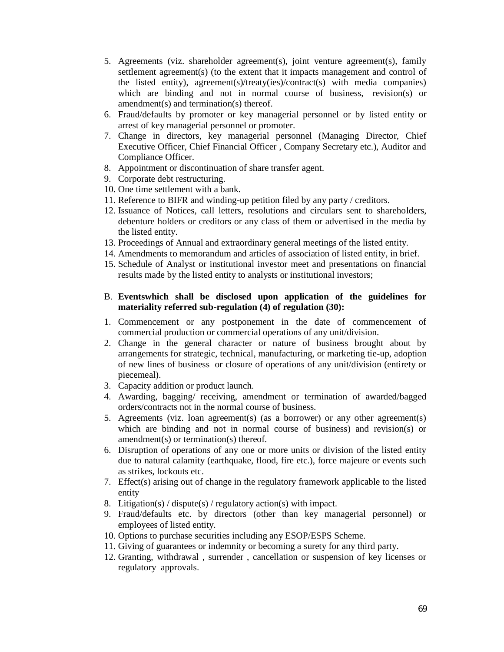- 5. Agreements (viz. shareholder agreement(s), joint venture agreement(s), family settlement agreement(s) (to the extent that it impacts management and control of the listed entity), agreement(s)/treaty(ies)/contract(s) with media companies) which are binding and not in normal course of business, revision(s) or amendment(s) and termination(s) thereof.
- 6. Fraud/defaults by promoter or key managerial personnel or by listed entity or arrest of key managerial personnel or promoter.
- 7. Change in directors, key managerial personnel (Managing Director, Chief Executive Officer, Chief Financial Officer , Company Secretary etc.), Auditor and Compliance Officer.
- 8. Appointment or discontinuation of share transfer agent.
- 9. Corporate debt restructuring.
- 10. One time settlement with a bank.
- 11. Reference to BIFR and winding-up petition filed by any party / creditors.
- 12. Issuance of Notices, call letters, resolutions and circulars sent to shareholders, debenture holders or creditors or any class of them or advertised in the media by the listed entity.
- 13. Proceedings of Annual and extraordinary general meetings of the listed entity.
- 14. Amendments to memorandum and articles of association of listed entity, in brief.
- 15. Schedule of Analyst or institutional investor meet and presentations on financial results made by the listed entity to analysts or institutional investors;

#### B. **Eventswhich shall be disclosed upon application of the guidelines for materiality referred sub-regulation (4) of regulation (30):**

- 1. Commencement or any postponement in the date of commencement of commercial production or commercial operations of any unit/division.
- 2. Change in the general character or nature of business brought about by arrangements for strategic, technical, manufacturing, or marketing tie-up, adoption of new lines of business or closure of operations of any unit/division (entirety or piecemeal).
- 3. Capacity addition or product launch.
- 4. Awarding, bagging/ receiving, amendment or termination of awarded/bagged orders/contracts not in the normal course of business.
- 5. Agreements (viz. loan agreement(s) (as a borrower) or any other agreement(s) which are binding and not in normal course of business) and revision(s) or amendment(s) or termination(s) thereof.
- 6. Disruption of operations of any one or more units or division of the listed entity due to natural calamity (earthquake, flood, fire etc.), force majeure or events such as strikes, lockouts etc.
- 7. Effect(s) arising out of change in the regulatory framework applicable to the listed entity
- 8. Litigation(s) / dispute(s) / regulatory action(s) with impact.
- 9. Fraud/defaults etc. by directors (other than key managerial personnel) or employees of listed entity.
- 10. Options to purchase securities including any ESOP/ESPS Scheme.
- 11. Giving of guarantees or indemnity or becoming a surety for any third party.
- 12. Granting, withdrawal , surrender , cancellation or suspension of key licenses or regulatory approvals.